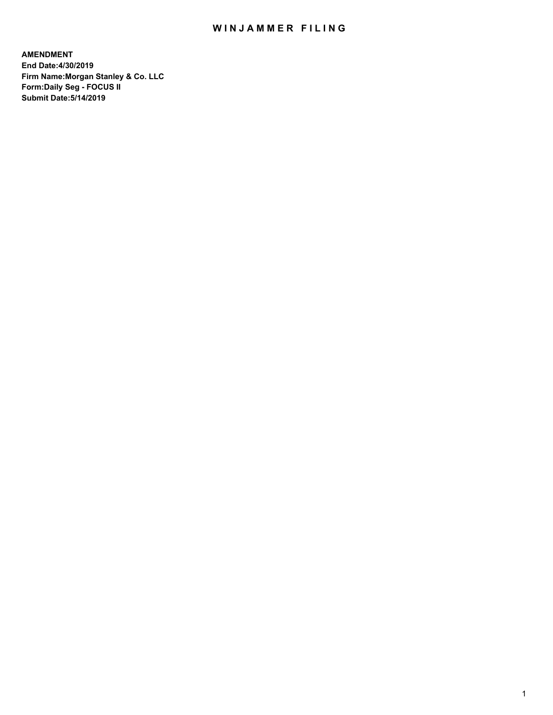## WIN JAMMER FILING

**AMENDMENT End Date:4/30/2019 Firm Name:Morgan Stanley & Co. LLC Form:Daily Seg - FOCUS II Submit Date:5/14/2019**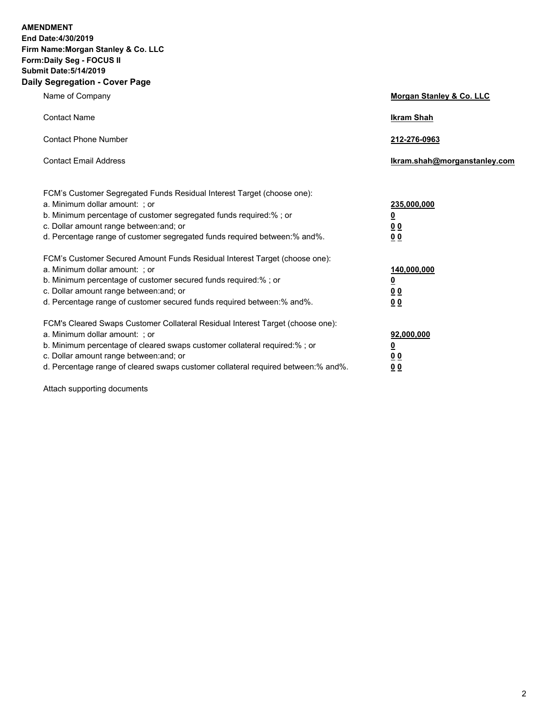**AMENDMENT End Date:4/30/2019 Firm Name:Morgan Stanley & Co. LLC Form:Daily Seg - FOCUS II Submit Date:5/14/2019 Daily Segregation - Cover Page**

| Name of Company                                                                                                                                                                                                                                                                                                                | Morgan Stanley & Co. LLC                                    |
|--------------------------------------------------------------------------------------------------------------------------------------------------------------------------------------------------------------------------------------------------------------------------------------------------------------------------------|-------------------------------------------------------------|
| <b>Contact Name</b>                                                                                                                                                                                                                                                                                                            | <b>Ikram Shah</b>                                           |
| <b>Contact Phone Number</b>                                                                                                                                                                                                                                                                                                    | 212-276-0963                                                |
| <b>Contact Email Address</b>                                                                                                                                                                                                                                                                                                   | Ikram.shah@morganstanley.com                                |
| FCM's Customer Segregated Funds Residual Interest Target (choose one):<br>a. Minimum dollar amount: ; or<br>b. Minimum percentage of customer segregated funds required:% ; or<br>c. Dollar amount range between: and; or<br>d. Percentage range of customer segregated funds required between:% and%.                         | 235,000,000<br><u>0</u><br><u>00</u><br>00                  |
| FCM's Customer Secured Amount Funds Residual Interest Target (choose one):<br>a. Minimum dollar amount: ; or<br>b. Minimum percentage of customer secured funds required:%; or<br>c. Dollar amount range between: and; or<br>d. Percentage range of customer secured funds required between:% and%.                            | 140,000,000<br><u>0</u><br>0 <sub>0</sub><br>0 <sub>0</sub> |
| FCM's Cleared Swaps Customer Collateral Residual Interest Target (choose one):<br>a. Minimum dollar amount: ; or<br>b. Minimum percentage of cleared swaps customer collateral required:% ; or<br>c. Dollar amount range between: and; or<br>d. Percentage range of cleared swaps customer collateral required between:% and%. | 92,000,000<br><u>0</u><br><u>0 0</u><br>00                  |

Attach supporting documents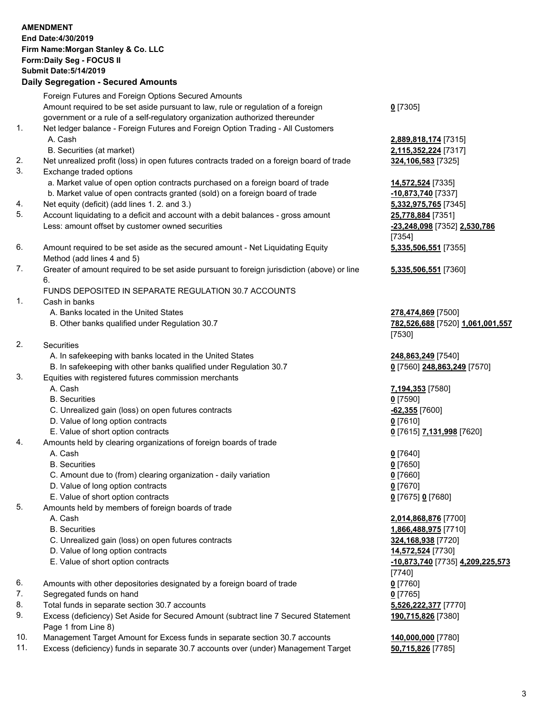|          | <b>AMENDMENT</b><br>End Date: 4/30/2019<br>Firm Name: Morgan Stanley & Co. LLC<br>Form: Daily Seg - FOCUS II<br><b>Submit Date: 5/14/2019</b>                                                                                                                                                              |                                                                                     |
|----------|------------------------------------------------------------------------------------------------------------------------------------------------------------------------------------------------------------------------------------------------------------------------------------------------------------|-------------------------------------------------------------------------------------|
|          | <b>Daily Segregation - Secured Amounts</b>                                                                                                                                                                                                                                                                 |                                                                                     |
| 1.       | Foreign Futures and Foreign Options Secured Amounts<br>Amount required to be set aside pursuant to law, rule or regulation of a foreign<br>government or a rule of a self-regulatory organization authorized thereunder<br>Net ledger balance - Foreign Futures and Foreign Option Trading - All Customers | $0$ [7305]                                                                          |
|          | A. Cash<br>B. Securities (at market)                                                                                                                                                                                                                                                                       | 2,889,818,174 [7315]<br>2,115,352,224 [7317]                                        |
| 2.<br>3. | Net unrealized profit (loss) in open futures contracts traded on a foreign board of trade<br>Exchange traded options                                                                                                                                                                                       | 324,106,583 [7325]                                                                  |
|          | a. Market value of open option contracts purchased on a foreign board of trade<br>b. Market value of open contracts granted (sold) on a foreign board of trade                                                                                                                                             | 14,572,524 [7335]<br>-10,873,740 [7337]                                             |
| 4.<br>5. | Net equity (deficit) (add lines 1.2. and 3.)<br>Account liquidating to a deficit and account with a debit balances - gross amount<br>Less: amount offset by customer owned securities                                                                                                                      | 5,332,975,765 [7345]<br>25,778,884 [7351]<br>-23,248,098 [7352] 2,530,786<br>[7354] |
| 6.       | Amount required to be set aside as the secured amount - Net Liquidating Equity<br>Method (add lines 4 and 5)                                                                                                                                                                                               | 5,335,506,551 [7355]                                                                |
| 7.       | Greater of amount required to be set aside pursuant to foreign jurisdiction (above) or line<br>6.<br>FUNDS DEPOSITED IN SEPARATE REGULATION 30.7 ACCOUNTS                                                                                                                                                  | 5,335,506,551 [7360]                                                                |
| 1.       | Cash in banks<br>A. Banks located in the United States<br>B. Other banks qualified under Regulation 30.7                                                                                                                                                                                                   | 278,474,869 [7500]<br>782,526,688 [7520] 1,061,001,557                              |
|          |                                                                                                                                                                                                                                                                                                            | [7530]                                                                              |
| 2.       | Securities                                                                                                                                                                                                                                                                                                 |                                                                                     |
|          | A. In safekeeping with banks located in the United States<br>B. In safekeeping with other banks qualified under Regulation 30.7                                                                                                                                                                            | 248,863,249 [7540]<br>0 [7560] 248,863,249 [7570]                                   |
| 3.       | Equities with registered futures commission merchants<br>A. Cash                                                                                                                                                                                                                                           | 7,194,353 [7580]                                                                    |
|          | <b>B.</b> Securities                                                                                                                                                                                                                                                                                       | $0$ [7590]                                                                          |
|          | C. Unrealized gain (loss) on open futures contracts                                                                                                                                                                                                                                                        | -62,355 [7600]                                                                      |
|          | D. Value of long option contracts                                                                                                                                                                                                                                                                          | $0$ [7610]                                                                          |
|          | E. Value of short option contracts                                                                                                                                                                                                                                                                         | 0 [7615] 7,131,998 [7620]                                                           |
| 4.       | Amounts held by clearing organizations of foreign boards of trade<br>A. Cash                                                                                                                                                                                                                               | $0$ [7640]                                                                          |
|          | <b>B.</b> Securities                                                                                                                                                                                                                                                                                       | $0$ [7650]                                                                          |
|          | C. Amount due to (from) clearing organization - daily variation                                                                                                                                                                                                                                            | $0$ [7660]                                                                          |
|          | D. Value of long option contracts                                                                                                                                                                                                                                                                          | $0$ [7670]                                                                          |
|          | E. Value of short option contracts                                                                                                                                                                                                                                                                         | 0 [7675] 0 [7680]                                                                   |
| 5.       | Amounts held by members of foreign boards of trade                                                                                                                                                                                                                                                         |                                                                                     |
|          | A. Cash                                                                                                                                                                                                                                                                                                    | 2,014,868,876 [7700]                                                                |
|          | <b>B.</b> Securities                                                                                                                                                                                                                                                                                       | 1,866,488,975 [7710]                                                                |
|          | C. Unrealized gain (loss) on open futures contracts                                                                                                                                                                                                                                                        | 324,168,938 [7720]                                                                  |
|          | D. Value of long option contracts<br>E. Value of short option contracts                                                                                                                                                                                                                                    | 14,572,524 [7730]                                                                   |
|          |                                                                                                                                                                                                                                                                                                            | -10,873,740 [7735] 4,209,225,573<br>[7740]                                          |
| 6.<br>7. | Amounts with other depositories designated by a foreign board of trade<br>Segregated funds on hand                                                                                                                                                                                                         | $0$ [7760]                                                                          |
| 8.       | Total funds in separate section 30.7 accounts                                                                                                                                                                                                                                                              | $0$ [7765]<br>5,526,222,377 [7770]                                                  |
| 9.       | Excess (deficiency) Set Aside for Secured Amount (subtract line 7 Secured Statement<br>Page 1 from Line 8)                                                                                                                                                                                                 | 190,715,826 [7380]                                                                  |

- 
- 10. Management Target Amount for Excess funds in separate section 30.7 accounts **140,000,000** [7780]<br>11. Excess (deficiency) funds in separate 30.7 accounts over (under) Management Target 50,715,826 [7785] Excess (deficiency) funds in separate 30.7 accounts over (under) Management Target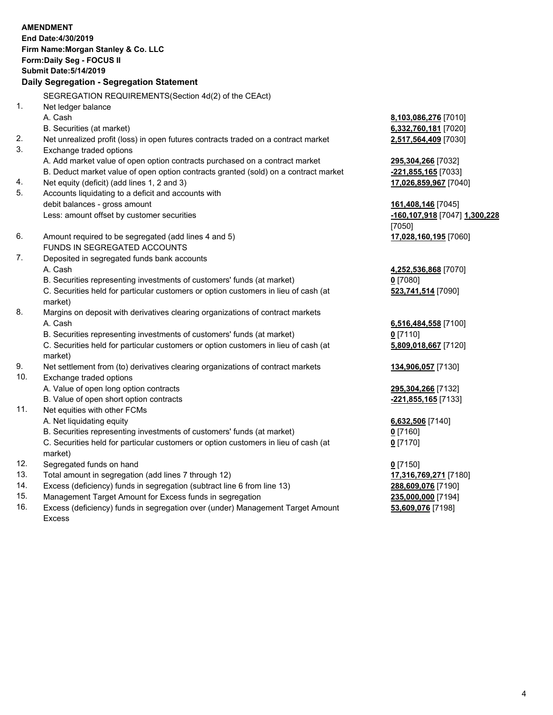|     | <b>AMENDMENT</b>                                                                                                                                              |                                    |
|-----|---------------------------------------------------------------------------------------------------------------------------------------------------------------|------------------------------------|
|     | End Date: 4/30/2019                                                                                                                                           |                                    |
|     | Firm Name: Morgan Stanley & Co. LLC                                                                                                                           |                                    |
|     | Form: Daily Seg - FOCUS II                                                                                                                                    |                                    |
|     | <b>Submit Date: 5/14/2019</b>                                                                                                                                 |                                    |
|     | Daily Segregation - Segregation Statement                                                                                                                     |                                    |
|     | SEGREGATION REQUIREMENTS (Section 4d(2) of the CEAct)                                                                                                         |                                    |
| 1.  | Net ledger balance                                                                                                                                            |                                    |
|     | A. Cash                                                                                                                                                       | 8,103,086,276 [7010]               |
|     | B. Securities (at market)                                                                                                                                     | 6,332,760,181 [7020]               |
| 2.  | Net unrealized profit (loss) in open futures contracts traded on a contract market                                                                            | 2,517,564,409 [7030]               |
| 3.  | Exchange traded options                                                                                                                                       |                                    |
|     | A. Add market value of open option contracts purchased on a contract market                                                                                   | 295,304,266 [7032]                 |
|     | B. Deduct market value of open option contracts granted (sold) on a contract market                                                                           | -221,855,165 [7033]                |
| 4.  | Net equity (deficit) (add lines 1, 2 and 3)                                                                                                                   | 17,026,859,967 [7040]              |
| 5.  | Accounts liquidating to a deficit and accounts with                                                                                                           |                                    |
|     | debit balances - gross amount                                                                                                                                 | 161,408,146 [7045]                 |
|     | Less: amount offset by customer securities                                                                                                                    | -160,107,918 [7047] 1,300,228      |
|     |                                                                                                                                                               | [7050]                             |
| 6.  | Amount required to be segregated (add lines 4 and 5)                                                                                                          | 17,028,160,195 [7060]              |
| 7.  | FUNDS IN SEGREGATED ACCOUNTS                                                                                                                                  |                                    |
|     | Deposited in segregated funds bank accounts<br>A. Cash                                                                                                        |                                    |
|     |                                                                                                                                                               | 4,252,536,868 [7070]<br>$0$ [7080] |
|     | B. Securities representing investments of customers' funds (at market)<br>C. Securities held for particular customers or option customers in lieu of cash (at |                                    |
|     | market)                                                                                                                                                       | 523,741,514 [7090]                 |
| 8.  | Margins on deposit with derivatives clearing organizations of contract markets                                                                                |                                    |
|     | A. Cash                                                                                                                                                       | 6,516,484,558 [7100]               |
|     | B. Securities representing investments of customers' funds (at market)                                                                                        | $0$ [7110]                         |
|     | C. Securities held for particular customers or option customers in lieu of cash (at                                                                           | 5,809,018,667 [7120]               |
|     | market)                                                                                                                                                       |                                    |
| 9.  | Net settlement from (to) derivatives clearing organizations of contract markets                                                                               | 134,906,057 [7130]                 |
| 10. | Exchange traded options                                                                                                                                       |                                    |
|     | A. Value of open long option contracts                                                                                                                        | 295,304,266 [7132]                 |
|     | B. Value of open short option contracts                                                                                                                       | -221,855,165 [7133]                |
| 11. | Net equities with other FCMs                                                                                                                                  |                                    |
|     | A. Net liquidating equity                                                                                                                                     | 6,632,506 [7140]                   |
|     | B. Securities representing investments of customers' funds (at market)                                                                                        | $0$ [7160]                         |
|     | C. Securities held for particular customers or option customers in lieu of cash (at                                                                           | $0$ [7170]                         |
|     | market)                                                                                                                                                       |                                    |
| 12. | Segregated funds on hand                                                                                                                                      | $0$ [7150]                         |
| 13. | Total amount in segregation (add lines 7 through 12)                                                                                                          | 17,316,769,271 [7180]              |
| 14. | Excess (deficiency) funds in segregation (subtract line 6 from line 13)                                                                                       | 288,609,076 [7190]                 |

- 
- 15. Management Target Amount for Excess funds in segregation<br>16. Excess (deficiency) funds in segregation over (under) Management Target Amount **235,000,076** [7198] Excess (deficiency) funds in segregation over (under) Management Target Amount Excess

**53,609,076** [7198]